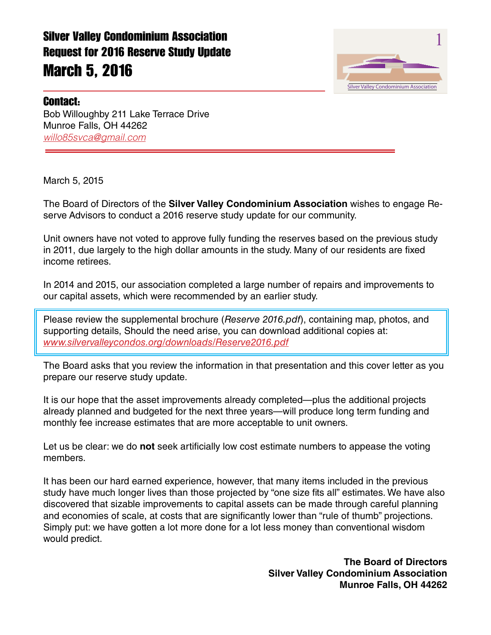

#### Contact:

Bob Willoughby 211 Lake Terrace Drive Munroe Falls, OH 44262 *willo85svca@gmail.com*

March 5, 2015

The Board of Directors of the **Silver Valley Condominium Association** wishes to engage Reserve Advisors to conduct a 2016 reserve study update for our community.

Unit owners have not voted to approve fully funding the reserves based on the previous study in 2011, due largely to the high dollar amounts in the study. Many of our residents are fixed income retirees.

In 2014 and 2015, our association completed a large number of repairs and improvements to our capital assets, which were recommended by an earlier study.

Please review the supplemental brochure (*Reserve 2016.pdf*), containing map, photos, and supporting details, Should the need arise, you can download additional copies at: *www.silvervalleycondos.org/downloads/Reserve2016.pdf*

The Board asks that you review the information in that presentation and this cover letter as you prepare our reserve study update.

It is our hope that the asset improvements already completed—plus the additional projects already planned and budgeted for the next three years—will produce long term funding and monthly fee increase estimates that are more acceptable to unit owners.

Let us be clear: we do **not** seek artificially low cost estimate numbers to appease the voting members.

It has been our hard earned experience, however, that many items included in the previous study have much longer lives than those projected by "one size fits all" estimates. We have also discovered that sizable improvements to capital assets can be made through careful planning and economies of scale, at costs that are significantly lower than "rule of thumb" projections. Simply put: we have gotten a lot more done for a lot less money than conventional wisdom would predict.

> **The Board of Directors Silver Valley Condominium Association Munroe Falls, OH 44262**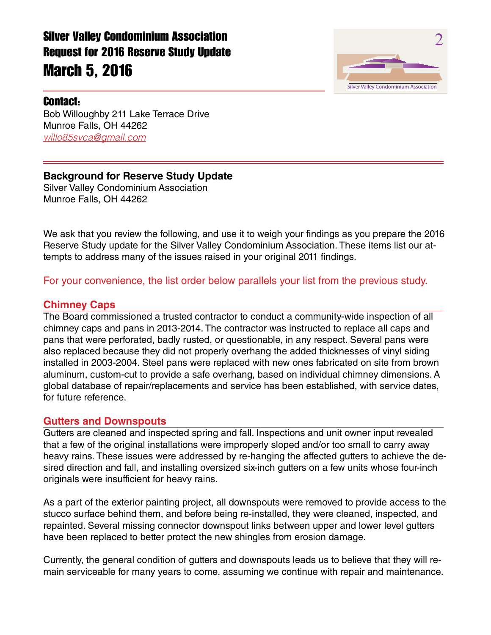

Silver Valley Condominium Association 2

Bob Willoughby 211 Lake Terrace Drive Munroe Falls, OH 44262 *willo85svca@gmail.com*

# **Background for Reserve Study Update**

Silver Valley Condominium Association Munroe Falls, OH 44262

We ask that you review the following, and use it to weigh your findings as you prepare the 2016 Reserve Study update for the Silver Valley Condominium Association. These items list our attempts to address many of the issues raised in your original 2011 findings.

For your convenience, the list order below parallels your list from the previous study.

#### **Chimney Caps**

The Board commissioned a trusted contractor to conduct a community-wide inspection of all chimney caps and pans in 2013-2014. The contractor was instructed to replace all caps and pans that were perforated, badly rusted, or questionable, in any respect. Several pans were also replaced because they did not properly overhang the added thicknesses of vinyl siding installed in 2003-2004. Steel pans were replaced with new ones fabricated on site from brown aluminum, custom-cut to provide a safe overhang, based on individual chimney dimensions. A global database of repair/replacements and service has been established, with service dates, for future reference.

#### **Gutters and Downspouts**

Gutters are cleaned and inspected spring and fall. Inspections and unit owner input revealed that a few of the original installations were improperly sloped and/or too small to carry away heavy rains. These issues were addressed by re-hanging the affected gutters to achieve the desired direction and fall, and installing oversized six-inch gutters on a few units whose four-inch originals were insufficient for heavy rains.

As a part of the exterior painting project, all downspouts were removed to provide access to the stucco surface behind them, and before being re-installed, they were cleaned, inspected, and repainted. Several missing connector downspout links between upper and lower level gutters have been replaced to better protect the new shingles from erosion damage.

Currently, the general condition of gutters and downspouts leads us to believe that they will remain serviceable for many years to come, assuming we continue with repair and maintenance.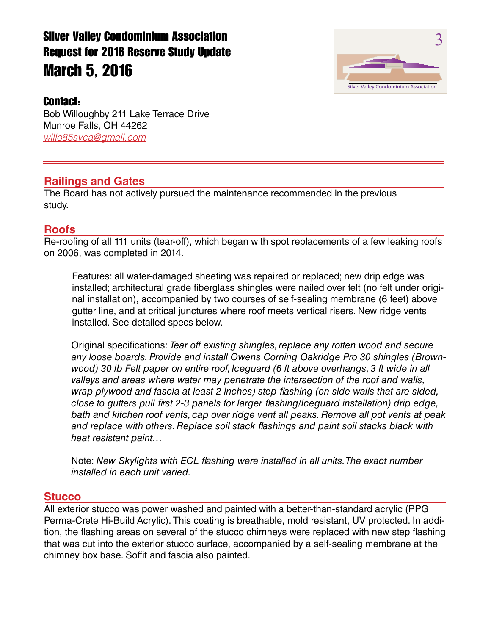

### Contact:

Bob Willoughby 211 Lake Terrace Drive Munroe Falls, OH 44262 *willo85svca@gmail.com*

## **Railings and Gates**

The Board has not actively pursued the maintenance recommended in the previous study.

### **Roofs**

Re-roofing of all 111 units (tear-off), which began with spot replacements of a few leaking roofs on 2006, was completed in 2014.

Features: all water-damaged sheeting was repaired or replaced; new drip edge was installed; architectural grade fiberglass shingles were nailed over felt (no felt under original installation), accompanied by two courses of self-sealing membrane (6 feet) above gutter line, and at critical junctures where roof meets vertical risers. New ridge vents installed. See detailed specs below.

Original specifications: *Tear off existing shingles, replace any rotten wood and secure any loose boards. Provide and install Owens Corning Oakridge Pro 30 shingles (Brownwood) 30 lb Felt paper on entire roof, Iceguard (6 ft above overhangs, 3 ft wide in all valleys and areas where water may penetrate the intersection of the roof and walls, wrap plywood and fascia at least 2 inches) step flashing (on side walls that are sided, close to gutters pull first 2-3 panels for larger flashing/Iceguard installation) drip edge, bath and kitchen roof vents, cap over ridge vent all peaks. Remove all pot vents at peak and replace with others. Replace soil stack flashings and paint soil stacks black with heat resistant paint…*

Note: *New Skylights with ECL flashing were installed in all units. The exact number installed in each unit varied.*

## **Stucco**

All exterior stucco was power washed and painted with a better-than-standard acrylic (PPG Perma-Crete Hi-Build Acrylic). This coating is breathable, mold resistant, UV protected. In addition, the flashing areas on several of the stucco chimneys were replaced with new step flashing that was cut into the exterior stucco surface, accompanied by a self-sealing membrane at the chimney box base. Soffit and fascia also painted.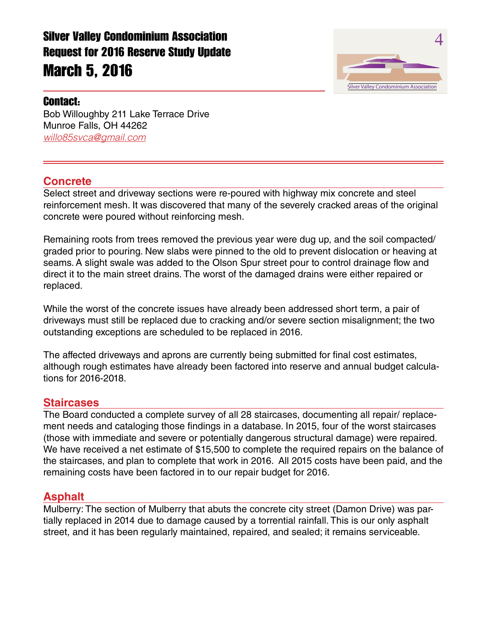

### Contact:

Bob Willoughby 211 Lake Terrace Drive Munroe Falls, OH 44262 *willo85svca@gmail.com*

### **Concrete**

Select street and driveway sections were re-poured with highway mix concrete and steel reinforcement mesh. It was discovered that many of the severely cracked areas of the original concrete were poured without reinforcing mesh.

Remaining roots from trees removed the previous year were dug up, and the soil compacted/ graded prior to pouring. New slabs were pinned to the old to prevent dislocation or heaving at seams. A slight swale was added to the Olson Spur street pour to control drainage flow and direct it to the main street drains. The worst of the damaged drains were either repaired or replaced.

While the worst of the concrete issues have already been addressed short term, a pair of driveways must still be replaced due to cracking and/or severe section misalignment; the two outstanding exceptions are scheduled to be replaced in 2016.

The affected driveways and aprons are currently being submitted for final cost estimates, although rough estimates have already been factored into reserve and annual budget calculations for 2016-2018.

#### **Staircases**

The Board conducted a complete survey of all 28 staircases, documenting all repair/ replacement needs and cataloging those findings in a database. In 2015, four of the worst staircases (those with immediate and severe or potentially dangerous structural damage) were repaired. We have received a net estimate of \$15,500 to complete the required repairs on the balance of the staircases, and plan to complete that work in 2016. All 2015 costs have been paid, and the remaining costs have been factored in to our repair budget for 2016.

#### **Asphalt**

Mulberry: The section of Mulberry that abuts the concrete city street (Damon Drive) was partially replaced in 2014 due to damage caused by a torrential rainfall. This is our only asphalt street, and it has been regularly maintained, repaired, and sealed; it remains serviceable.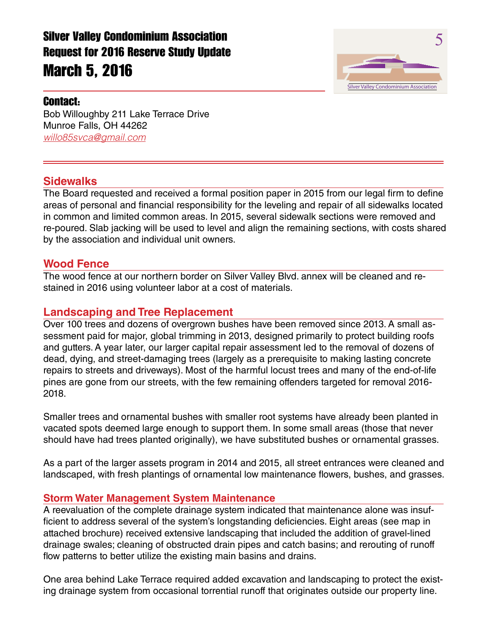

### Contact:

Bob Willoughby 211 Lake Terrace Drive Munroe Falls, OH 44262 *willo85svca@gmail.com*

### **Sidewalks**

The Board requested and received a formal position paper in 2015 from our legal firm to define areas of personal and financial responsibility for the leveling and repair of all sidewalks located in common and limited common areas. In 2015, several sidewalk sections were removed and re-poured. Slab jacking will be used to level and align the remaining sections, with costs shared by the association and individual unit owners.

#### **Wood Fence**

The wood fence at our northern border on Silver Valley Blvd. annex will be cleaned and restained in 2016 using volunteer labor at a cost of materials.

## **Landscaping and Tree Replacement**

Over 100 trees and dozens of overgrown bushes have been removed since 2013. A small assessment paid for major, global trimming in 2013, designed primarily to protect building roofs and gutters. A year later, our larger capital repair assessment led to the removal of dozens of dead, dying, and street-damaging trees (largely as a prerequisite to making lasting concrete repairs to streets and driveways). Most of the harmful locust trees and many of the end-of-life pines are gone from our streets, with the few remaining offenders targeted for removal 2016- 2018.

Smaller trees and ornamental bushes with smaller root systems have already been planted in vacated spots deemed large enough to support them. In some small areas (those that never should have had trees planted originally), we have substituted bushes or ornamental grasses.

As a part of the larger assets program in 2014 and 2015, all street entrances were cleaned and landscaped, with fresh plantings of ornamental low maintenance flowers, bushes, and grasses.

#### **Storm Water Management System Maintenance**

A reevaluation of the complete drainage system indicated that maintenance alone was insufficient to address several of the system's longstanding deficiencies. Eight areas (see map in attached brochure) received extensive landscaping that included the addition of gravel-lined drainage swales; cleaning of obstructed drain pipes and catch basins; and rerouting of runoff flow patterns to better utilize the existing main basins and drains.

One area behind Lake Terrace required added excavation and landscaping to protect the existing drainage system from occasional torrential runoff that originates outside our property line.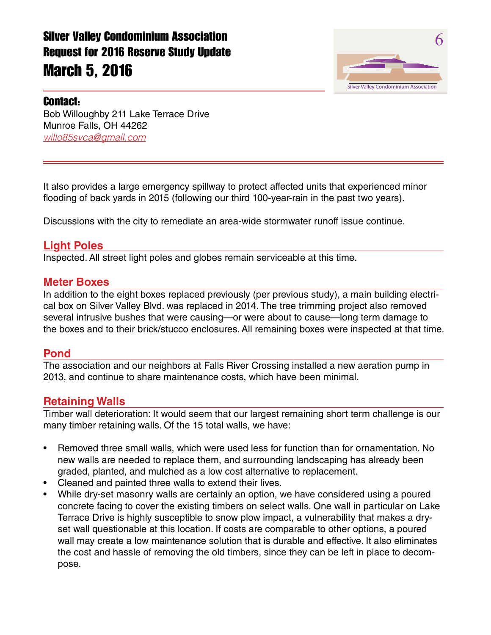

## Contact:

Bob Willoughby 211 Lake Terrace Drive Munroe Falls, OH 44262 *willo85svca@gmail.com*

It also provides a large emergency spillway to protect affected units that experienced minor flooding of back yards in 2015 (following our third 100-year-rain in the past two years).

Discussions with the city to remediate an area-wide stormwater runoff issue continue.

## **Light Poles**

Inspected. All street light poles and globes remain serviceable at this time.

#### **Meter Boxes**

In addition to the eight boxes replaced previously (per previous study), a main building electrical box on Silver Valley Blvd. was replaced in 2014. The tree trimming project also removed several intrusive bushes that were causing—or were about to cause—long term damage to the boxes and to their brick/stucco enclosures. All remaining boxes were inspected at that time.

#### **Pond**

The association and our neighbors at Falls River Crossing installed a new aeration pump in 2013, and continue to share maintenance costs, which have been minimal.

#### **Retaining Walls**

Timber wall deterioration: It would seem that our largest remaining short term challenge is our many timber retaining walls. Of the 15 total walls, we have:

- Removed three small walls, which were used less for function than for ornamentation. No new walls are needed to replace them, and surrounding landscaping has already been graded, planted, and mulched as a low cost alternative to replacement.
- Cleaned and painted three walls to extend their lives.
- While dry-set masonry walls are certainly an option, we have considered using a poured concrete facing to cover the existing timbers on select walls. One wall in particular on Lake Terrace Drive is highly susceptible to snow plow impact, a vulnerability that makes a dryset wall questionable at this location. If costs are comparable to other options, a poured wall may create a low maintenance solution that is durable and effective. It also eliminates the cost and hassle of removing the old timbers, since they can be left in place to decompose.